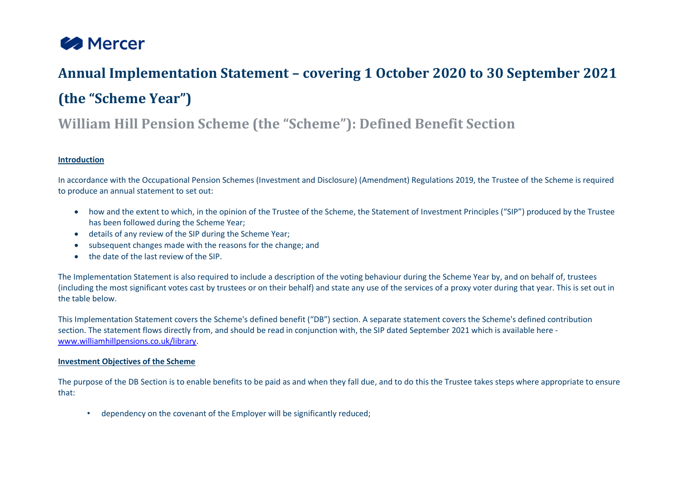

# **Annual Implementation Statement – covering 1 October 2020 to 30 September 2021 (the "Scheme Year")**

## **William Hill Pension Scheme (the "Scheme"): Defined Benefit Section**

#### **Introduction**

In accordance with the Occupational Pension Schemes (Investment and Disclosure) (Amendment) Regulations 2019, the Trustee of the Scheme is required to produce an annual statement to set out:

- how and the extent to which, in the opinion of the Trustee of the Scheme, the Statement of Investment Principles ("SIP") produced by the Trustee has been followed during the Scheme Year;
- details of any review of the SIP during the Scheme Year;
- subsequent changes made with the reasons for the change; and
- the date of the last review of the SIP.

The Implementation Statement is also required to include a description of the voting behaviour during the Scheme Year by, and on behalf of, trustees (including the most significant votes cast by trustees or on their behalf) and state any use of the services of a proxy voter during that year. This is set out in the table below.

This Implementation Statement covers the Scheme's defined benefit ("DB") section. A separate statement covers the Scheme's defined contribution section. The statement flows directly from, and should be read in conjunction with, the SIP dated September 2021 which is available here [www.williamhillpensions.co.uk/library.](http://www.williamhillpensions.co.uk/library)

#### **Investment Objectives of the Scheme**

The purpose of the DB Section is to enable benefits to be paid as and when they fall due, and to do this the Trustee takes steps where appropriate to ensure that:

• dependency on the covenant of the Employer will be significantly reduced;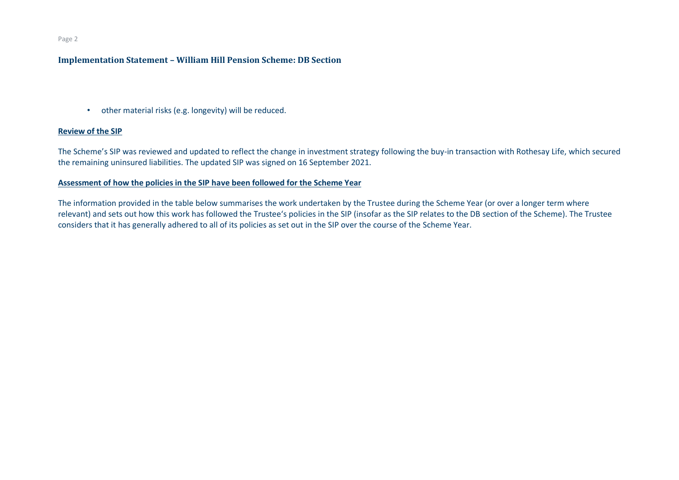#### Page 2

#### **Implementation Statement – William Hill Pension Scheme: DB Section**

• other material risks (e.g. longevity) will be reduced.

#### **Review of the SIP**

The Scheme's SIP was reviewed and updated to reflect the change in investment strategy following the buy-in transaction with Rothesay Life, which secured the remaining uninsured liabilities. The updated SIP was signed on 16 September 2021.

#### **Assessment of how the policies in the SIP have been followed for the Scheme Year**

The information provided in the table below summarises the work undertaken by the Trustee during the Scheme Year (or over a longer term where relevant) and sets out how this work has followed the Trustee's policies in the SIP (insofar as the SIP relates to the DB section of the Scheme). The Trustee considers that it has generally adhered to all of its policies as set out in the SIP over the course of the Scheme Year.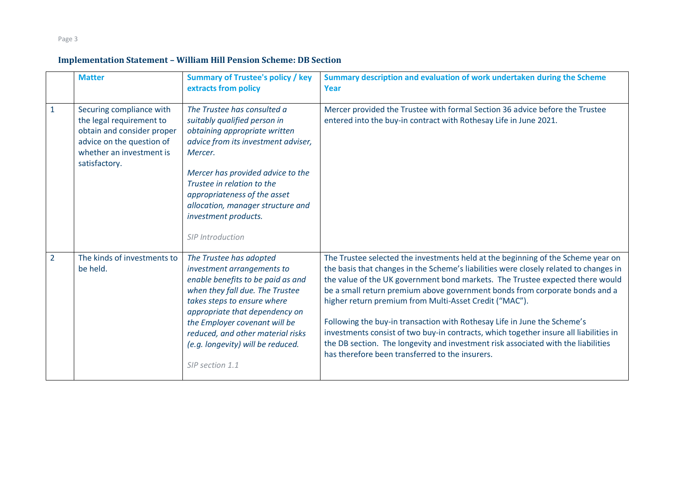|                | <b>Matter</b>                                                                                                                                                | <b>Summary of Trustee's policy / key</b><br>extracts from policy                                                                                                                                                                                                                                                                   | Summary description and evaluation of work undertaken during the Scheme<br>Year                                                                                                                                                                                                                                                                                                                                                                                                                                                                                                                                                                                                                                  |
|----------------|--------------------------------------------------------------------------------------------------------------------------------------------------------------|------------------------------------------------------------------------------------------------------------------------------------------------------------------------------------------------------------------------------------------------------------------------------------------------------------------------------------|------------------------------------------------------------------------------------------------------------------------------------------------------------------------------------------------------------------------------------------------------------------------------------------------------------------------------------------------------------------------------------------------------------------------------------------------------------------------------------------------------------------------------------------------------------------------------------------------------------------------------------------------------------------------------------------------------------------|
| $\mathbf{1}$   | Securing compliance with<br>the legal requirement to<br>obtain and consider proper<br>advice on the question of<br>whether an investment is<br>satisfactory. | The Trustee has consulted a<br>suitably qualified person in<br>obtaining appropriate written<br>advice from its investment adviser,<br>Mercer.<br>Mercer has provided advice to the<br>Trustee in relation to the<br>appropriateness of the asset<br>allocation, manager structure and<br>investment products.<br>SIP Introduction | Mercer provided the Trustee with formal Section 36 advice before the Trustee<br>entered into the buy-in contract with Rothesay Life in June 2021.                                                                                                                                                                                                                                                                                                                                                                                                                                                                                                                                                                |
| $\overline{2}$ | The kinds of investments to<br>be held.                                                                                                                      | The Trustee has adopted<br>investment arrangements to<br>enable benefits to be paid as and<br>when they fall due. The Trustee<br>takes steps to ensure where<br>appropriate that dependency on<br>the Employer covenant will be<br>reduced, and other material risks<br>(e.g. longevity) will be reduced.<br>SIP section 1.1       | The Trustee selected the investments held at the beginning of the Scheme year on<br>the basis that changes in the Scheme's liabilities were closely related to changes in<br>the value of the UK government bond markets. The Trustee expected there would<br>be a small return premium above government bonds from corporate bonds and a<br>higher return premium from Multi-Asset Credit ("MAC").<br>Following the buy-in transaction with Rothesay Life in June the Scheme's<br>investments consist of two buy-in contracts, which together insure all liabilities in<br>the DB section. The longevity and investment risk associated with the liabilities<br>has therefore been transferred to the insurers. |

Page 3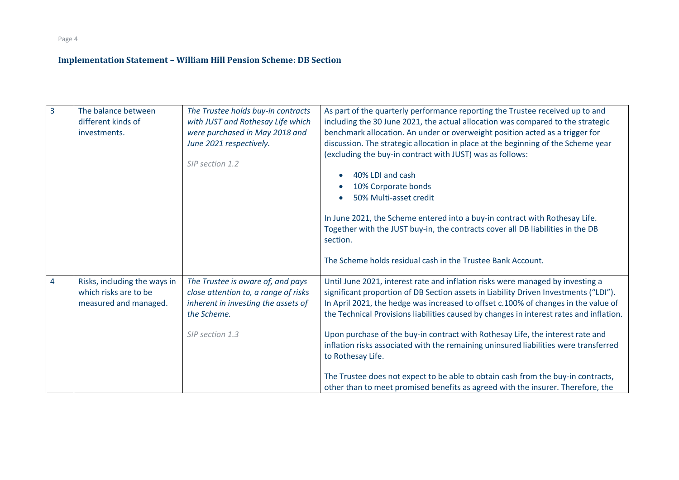Page 4

| 3 | The balance between<br>different kinds of<br>investments.                      | The Trustee holds buy-in contracts<br>with JUST and Rothesay Life which<br>were purchased in May 2018 and<br>June 2021 respectively.<br>SIP section 1.2 | As part of the quarterly performance reporting the Trustee received up to and<br>including the 30 June 2021, the actual allocation was compared to the strategic<br>benchmark allocation. An under or overweight position acted as a trigger for<br>discussion. The strategic allocation in place at the beginning of the Scheme year<br>(excluding the buy-in contract with JUST) was as follows:<br>40% LDI and cash<br>10% Corporate bonds<br>50% Multi-asset credit<br>In June 2021, the Scheme entered into a buy-in contract with Rothesay Life.<br>Together with the JUST buy-in, the contracts cover all DB liabilities in the DB |
|---|--------------------------------------------------------------------------------|---------------------------------------------------------------------------------------------------------------------------------------------------------|-------------------------------------------------------------------------------------------------------------------------------------------------------------------------------------------------------------------------------------------------------------------------------------------------------------------------------------------------------------------------------------------------------------------------------------------------------------------------------------------------------------------------------------------------------------------------------------------------------------------------------------------|
|   |                                                                                |                                                                                                                                                         | section.<br>The Scheme holds residual cash in the Trustee Bank Account.                                                                                                                                                                                                                                                                                                                                                                                                                                                                                                                                                                   |
| 4 | Risks, including the ways in<br>which risks are to be<br>measured and managed. | The Trustee is aware of, and pays<br>close attention to, a range of risks<br>inherent in investing the assets of<br>the Scheme.<br>SIP section 1.3      | Until June 2021, interest rate and inflation risks were managed by investing a<br>significant proportion of DB Section assets in Liability Driven Investments ("LDI").<br>In April 2021, the hedge was increased to offset c.100% of changes in the value of<br>the Technical Provisions liabilities caused by changes in interest rates and inflation.<br>Upon purchase of the buy-in contract with Rothesay Life, the interest rate and<br>inflation risks associated with the remaining uninsured liabilities were transferred<br>to Rothesay Life.                                                                                    |
|   |                                                                                |                                                                                                                                                         | The Trustee does not expect to be able to obtain cash from the buy-in contracts,<br>other than to meet promised benefits as agreed with the insurer. Therefore, the                                                                                                                                                                                                                                                                                                                                                                                                                                                                       |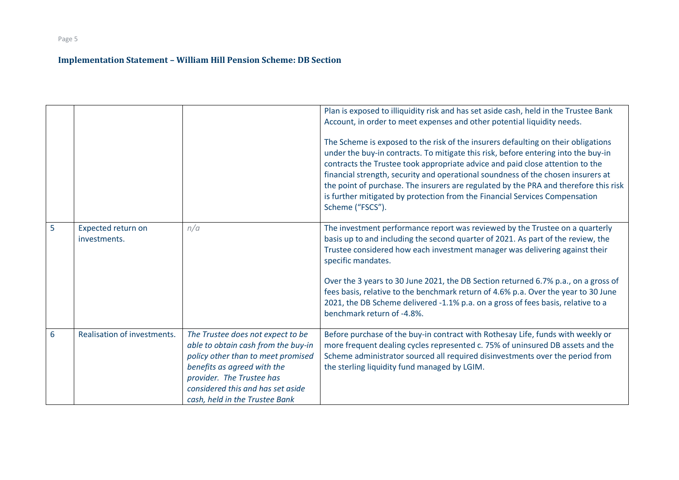| 6 | Realisation of investments. | The Trustee does not expect to be<br>able to obtain cash from the buy-in                         | Trustee considered how each investment manager was delivering against their<br>specific mandates.<br>Over the 3 years to 30 June 2021, the DB Section returned 6.7% p.a., on a gross of<br>fees basis, relative to the benchmark return of 4.6% p.a. Over the year to 30 June<br>2021, the DB Scheme delivered -1.1% p.a. on a gross of fees basis, relative to a<br>benchmark return of -4.8%.<br>Before purchase of the buy-in contract with Rothesay Life, funds with weekly or<br>more frequent dealing cycles represented c. 75% of uninsured DB assets and the |
|---|-----------------------------|--------------------------------------------------------------------------------------------------|----------------------------------------------------------------------------------------------------------------------------------------------------------------------------------------------------------------------------------------------------------------------------------------------------------------------------------------------------------------------------------------------------------------------------------------------------------------------------------------------------------------------------------------------------------------------|
|   |                             | policy other than to meet promised<br>benefits as agreed with the                                | Scheme administrator sourced all required disinvestments over the period from<br>the sterling liquidity fund managed by LGIM.                                                                                                                                                                                                                                                                                                                                                                                                                                        |
|   |                             | provider. The Trustee has<br>considered this and has set aside<br>cash, held in the Trustee Bank |                                                                                                                                                                                                                                                                                                                                                                                                                                                                                                                                                                      |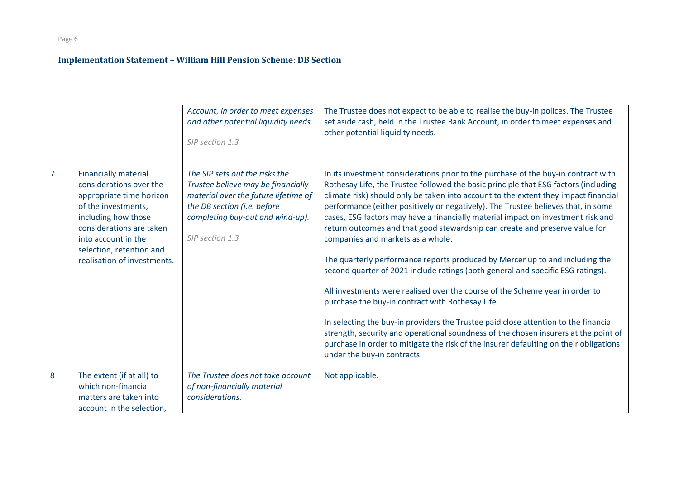|   |                                                                                                                                                                                                                                                | Account, in order to meet expenses<br>and other potential liquidity needs.<br>SIP section 1.3                                                                                                      | The Trustee does not expect to be able to realise the buy-in polices. The Trustee<br>set aside cash, held in the Trustee Bank Account, in order to meet expenses and<br>other potential liquidity needs.                                                                                                                                                                                                                                                                                                                                                                                                                                                                                                                                                                                                                                                                                                                                                                                                                                                                                                                                                                   |
|---|------------------------------------------------------------------------------------------------------------------------------------------------------------------------------------------------------------------------------------------------|----------------------------------------------------------------------------------------------------------------------------------------------------------------------------------------------------|----------------------------------------------------------------------------------------------------------------------------------------------------------------------------------------------------------------------------------------------------------------------------------------------------------------------------------------------------------------------------------------------------------------------------------------------------------------------------------------------------------------------------------------------------------------------------------------------------------------------------------------------------------------------------------------------------------------------------------------------------------------------------------------------------------------------------------------------------------------------------------------------------------------------------------------------------------------------------------------------------------------------------------------------------------------------------------------------------------------------------------------------------------------------------|
|   | <b>Financially material</b><br>considerations over the<br>appropriate time horizon<br>of the investments,<br>including how those<br>considerations are taken<br>into account in the<br>selection, retention and<br>realisation of investments. | The SIP sets out the risks the<br>Trustee believe may be financially<br>material over the future lifetime of<br>the DB section (i.e. before<br>completing buy-out and wind-up).<br>SIP section 1.3 | In its investment considerations prior to the purchase of the buy-in contract with<br>Rothesay Life, the Trustee followed the basic principle that ESG factors (including<br>climate risk) should only be taken into account to the extent they impact financial<br>performance (either positively or negatively). The Trustee believes that, in some<br>cases, ESG factors may have a financially material impact on investment risk and<br>return outcomes and that good stewardship can create and preserve value for<br>companies and markets as a whole.<br>The quarterly performance reports produced by Mercer up to and including the<br>second quarter of 2021 include ratings (both general and specific ESG ratings).<br>All investments were realised over the course of the Scheme year in order to<br>purchase the buy-in contract with Rothesay Life.<br>In selecting the buy-in providers the Trustee paid close attention to the financial<br>strength, security and operational soundness of the chosen insurers at the point of<br>purchase in order to mitigate the risk of the insurer defaulting on their obligations<br>under the buy-in contracts. |
| 8 | The extent (if at all) to<br>which non-financial<br>matters are taken into<br>account in the selection,                                                                                                                                        | The Trustee does not take account<br>of non-financially material<br>considerations.                                                                                                                | Not applicable.                                                                                                                                                                                                                                                                                                                                                                                                                                                                                                                                                                                                                                                                                                                                                                                                                                                                                                                                                                                                                                                                                                                                                            |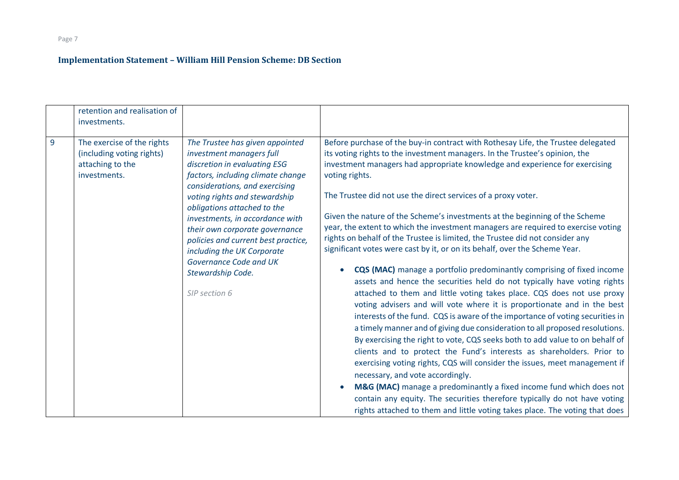|                | retention and realisation of<br>investments.                                                |                                                                                                                                                                                                                                                                                                                                                                                                                                              |                                                                                                                                                                                                                                                                                                                                                                                                                                                                                                                                                                                                                                                                                                                                                                                                                                                                                                                                                                                                                                                                                                                                                                                                                                                                                                                                                                                                                                                                                                                                                                                                                                                                     |
|----------------|---------------------------------------------------------------------------------------------|----------------------------------------------------------------------------------------------------------------------------------------------------------------------------------------------------------------------------------------------------------------------------------------------------------------------------------------------------------------------------------------------------------------------------------------------|---------------------------------------------------------------------------------------------------------------------------------------------------------------------------------------------------------------------------------------------------------------------------------------------------------------------------------------------------------------------------------------------------------------------------------------------------------------------------------------------------------------------------------------------------------------------------------------------------------------------------------------------------------------------------------------------------------------------------------------------------------------------------------------------------------------------------------------------------------------------------------------------------------------------------------------------------------------------------------------------------------------------------------------------------------------------------------------------------------------------------------------------------------------------------------------------------------------------------------------------------------------------------------------------------------------------------------------------------------------------------------------------------------------------------------------------------------------------------------------------------------------------------------------------------------------------------------------------------------------------------------------------------------------------|
| $\overline{9}$ | The exercise of the rights<br>(including voting rights)<br>attaching to the<br>investments. | The Trustee has given appointed<br>investment managers full<br>discretion in evaluating ESG<br>factors, including climate change<br>considerations, and exercising<br>voting rights and stewardship<br>obligations attached to the<br>investments, in accordance with<br>their own corporate governance<br>policies and current best practice,<br>including the UK Corporate<br>Governance Code and UK<br>Stewardship Code.<br>SIP section 6 | Before purchase of the buy-in contract with Rothesay Life, the Trustee delegated<br>its voting rights to the investment managers. In the Trustee's opinion, the<br>investment managers had appropriate knowledge and experience for exercising<br>voting rights.<br>The Trustee did not use the direct services of a proxy voter.<br>Given the nature of the Scheme's investments at the beginning of the Scheme<br>year, the extent to which the investment managers are required to exercise voting<br>rights on behalf of the Trustee is limited, the Trustee did not consider any<br>significant votes were cast by it, or on its behalf, over the Scheme Year.<br><b>CQS (MAC)</b> manage a portfolio predominantly comprising of fixed income<br>assets and hence the securities held do not typically have voting rights<br>attached to them and little voting takes place. CQS does not use proxy<br>voting advisers and will vote where it is proportionate and in the best<br>interests of the fund. CQS is aware of the importance of voting securities in<br>a timely manner and of giving due consideration to all proposed resolutions.<br>By exercising the right to vote, CQS seeks both to add value to on behalf of<br>clients and to protect the Fund's interests as shareholders. Prior to<br>exercising voting rights, CQS will consider the issues, meet management if<br>necessary, and vote accordingly.<br>M&G (MAC) manage a predominantly a fixed income fund which does not<br>contain any equity. The securities therefore typically do not have voting<br>rights attached to them and little voting takes place. The voting that does |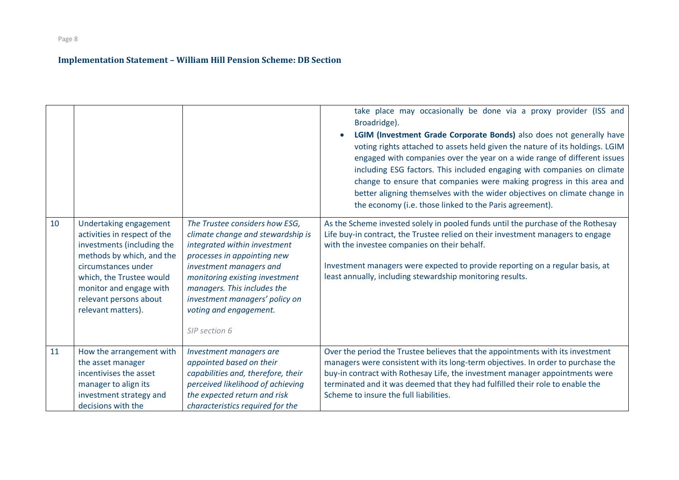|    |                                                                                                                                                                                                                                                 |                                                                                                                                                                                                                                                                                                             | take place may occasionally be done via a proxy provider (ISS and<br>Broadridge).<br>LGIM (Investment Grade Corporate Bonds) also does not generally have<br>voting rights attached to assets held given the nature of its holdings. LGIM<br>engaged with companies over the year on a wide range of different issues<br>including ESG factors. This included engaging with companies on climate<br>change to ensure that companies were making progress in this area and<br>better aligning themselves with the wider objectives on climate change in<br>the economy (i.e. those linked to the Paris agreement). |
|----|-------------------------------------------------------------------------------------------------------------------------------------------------------------------------------------------------------------------------------------------------|-------------------------------------------------------------------------------------------------------------------------------------------------------------------------------------------------------------------------------------------------------------------------------------------------------------|-------------------------------------------------------------------------------------------------------------------------------------------------------------------------------------------------------------------------------------------------------------------------------------------------------------------------------------------------------------------------------------------------------------------------------------------------------------------------------------------------------------------------------------------------------------------------------------------------------------------|
| 10 | Undertaking engagement<br>activities in respect of the<br>investments (including the<br>methods by which, and the<br>circumstances under<br>which, the Trustee would<br>monitor and engage with<br>relevant persons about<br>relevant matters). | The Trustee considers how ESG,<br>climate change and stewardship is<br>integrated within investment<br>processes in appointing new<br>investment managers and<br>monitoring existing investment<br>managers. This includes the<br>investment managers' policy on<br>voting and engagement.<br>SIP section 6 | As the Scheme invested solely in pooled funds until the purchase of the Rothesay<br>Life buy-in contract, the Trustee relied on their investment managers to engage<br>with the investee companies on their behalf.<br>Investment managers were expected to provide reporting on a regular basis, at<br>least annually, including stewardship monitoring results.                                                                                                                                                                                                                                                 |
| 11 | How the arrangement with<br>the asset manager<br>incentivises the asset<br>manager to align its<br>investment strategy and<br>decisions with the                                                                                                | Investment managers are<br>appointed based on their<br>capabilities and, therefore, their<br>perceived likelihood of achieving<br>the expected return and risk<br>characteristics required for the                                                                                                          | Over the period the Trustee believes that the appointments with its investment<br>managers were consistent with its long-term objectives. In order to purchase the<br>buy-in contract with Rothesay Life, the investment manager appointments were<br>terminated and it was deemed that they had fulfilled their role to enable the<br>Scheme to insure the full liabilities.                                                                                                                                                                                                                                     |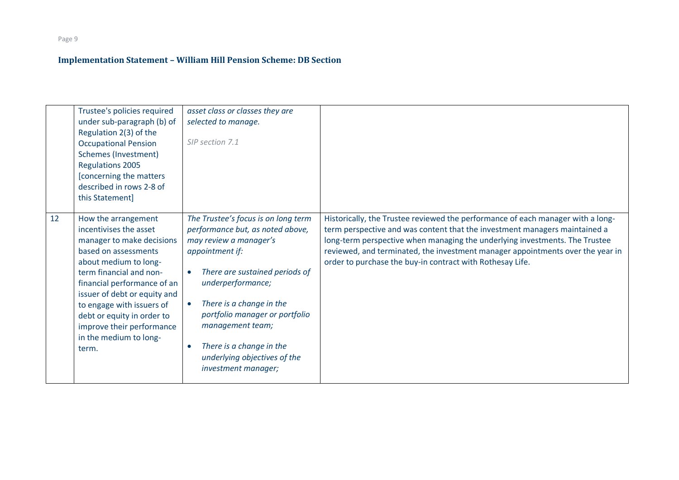|    | Trustee's policies required<br>under sub-paragraph (b) of<br>Regulation 2(3) of the<br><b>Occupational Pension</b><br><b>Schemes (Investment)</b><br><b>Regulations 2005</b><br>[concerning the matters<br>described in rows 2-8 of<br>this Statement]                                                                                           | asset class or classes they are<br>selected to manage.<br>SIP section 7.1                                                                                                                                                                                                                                                                                                               |                                                                                                                                                                                                                                                                                                                                                                                             |
|----|--------------------------------------------------------------------------------------------------------------------------------------------------------------------------------------------------------------------------------------------------------------------------------------------------------------------------------------------------|-----------------------------------------------------------------------------------------------------------------------------------------------------------------------------------------------------------------------------------------------------------------------------------------------------------------------------------------------------------------------------------------|---------------------------------------------------------------------------------------------------------------------------------------------------------------------------------------------------------------------------------------------------------------------------------------------------------------------------------------------------------------------------------------------|
| 12 | How the arrangement<br>incentivises the asset<br>manager to make decisions<br>based on assessments<br>about medium to long-<br>term financial and non-<br>financial performance of an<br>issuer of debt or equity and<br>to engage with issuers of<br>debt or equity in order to<br>improve their performance<br>in the medium to long-<br>term. | The Trustee's focus is on long term<br>performance but, as noted above,<br>may review a manager's<br>appointment if:<br>There are sustained periods of<br>$\bullet$<br>underperformance;<br>There is a change in the<br>$\bullet$<br>portfolio manager or portfolio<br>management team;<br>There is a change in the<br>$\bullet$<br>underlying objectives of the<br>investment manager; | Historically, the Trustee reviewed the performance of each manager with a long-<br>term perspective and was content that the investment managers maintained a<br>long-term perspective when managing the underlying investments. The Trustee<br>reviewed, and terminated, the investment manager appointments over the year in<br>order to purchase the buy-in contract with Rothesay Life. |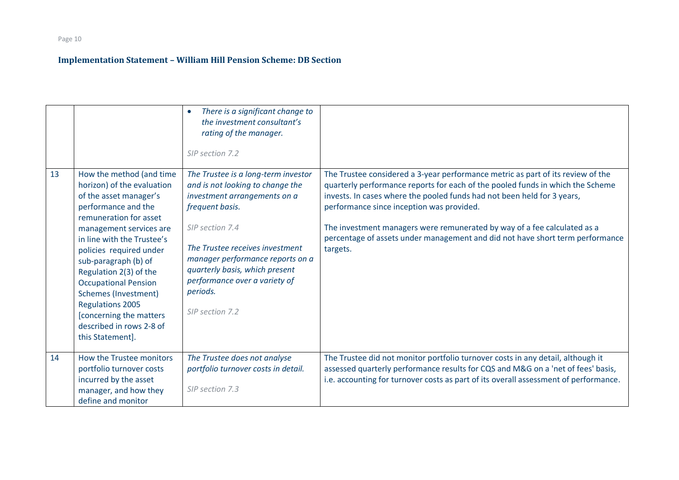|    |                                                                                                                                                                                                                                                                                                                                                                                                                                             | There is a significant change to<br>$\bullet$<br>the investment consultant's<br>rating of the manager.<br>SIP section 7.2                                                                                                                                                                                              |                                                                                                                                                                                                                                                                                                                                                                                                                                                                    |
|----|---------------------------------------------------------------------------------------------------------------------------------------------------------------------------------------------------------------------------------------------------------------------------------------------------------------------------------------------------------------------------------------------------------------------------------------------|------------------------------------------------------------------------------------------------------------------------------------------------------------------------------------------------------------------------------------------------------------------------------------------------------------------------|--------------------------------------------------------------------------------------------------------------------------------------------------------------------------------------------------------------------------------------------------------------------------------------------------------------------------------------------------------------------------------------------------------------------------------------------------------------------|
| 13 | How the method (and time<br>horizon) of the evaluation<br>of the asset manager's<br>performance and the<br>remuneration for asset<br>management services are<br>in line with the Trustee's<br>policies required under<br>sub-paragraph (b) of<br>Regulation 2(3) of the<br><b>Occupational Pension</b><br><b>Schemes (Investment)</b><br><b>Regulations 2005</b><br>[concerning the matters<br>described in rows 2-8 of<br>this Statement]. | The Trustee is a long-term investor<br>and is not looking to change the<br>investment arrangements on a<br>frequent basis.<br>SIP section 7.4<br>The Trustee receives investment<br>manager performance reports on a<br>quarterly basis, which present<br>performance over a variety of<br>periods.<br>SIP section 7.2 | The Trustee considered a 3-year performance metric as part of its review of the<br>quarterly performance reports for each of the pooled funds in which the Scheme<br>invests. In cases where the pooled funds had not been held for 3 years,<br>performance since inception was provided.<br>The investment managers were remunerated by way of a fee calculated as a<br>percentage of assets under management and did not have short term performance<br>targets. |
| 14 | How the Trustee monitors<br>portfolio turnover costs<br>incurred by the asset<br>manager, and how they<br>define and monitor                                                                                                                                                                                                                                                                                                                | The Trustee does not analyse<br>portfolio turnover costs in detail.<br>SIP section 7.3                                                                                                                                                                                                                                 | The Trustee did not monitor portfolio turnover costs in any detail, although it<br>assessed quarterly performance results for CQS and M&G on a 'net of fees' basis,<br>i.e. accounting for turnover costs as part of its overall assessment of performance.                                                                                                                                                                                                        |